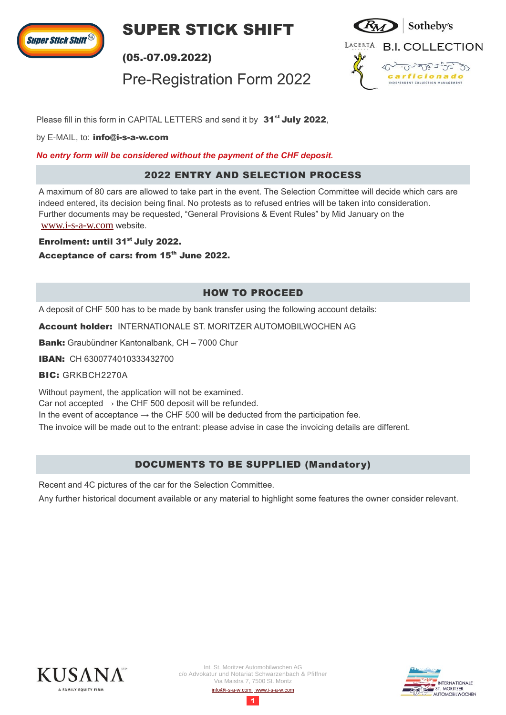

**SUPER STICK SHIFT** 

(05.-07.09.2022)

Pre-Registration Form 2022



Please fill in this form in CAPITAL LETTERS and send it by 31<sup>st</sup> July 2022,

by E-MAIL, to: [info@i-s-a-w.com](mailto:info@i-s-a-w.com)

*No entry form will be considered without the payment of the CHF deposit.*

#### 2022 ENTRY AND SELECTION PROCESS

A maximum of 80 cars are allowed to take part in the event. The Selection Committee will decide which cars are indeed entered, its decision being final. No protests as to refused entries will be taken into consideration. Further documents may be requested, "General Provisions & Event Rules" by Mid January on the [www.i-s-a-w.com](http://www.i-s-a-w.com/) website.

Enrolment: until 31<sup>st</sup> July 2022.

Acceptance of cars: from 15<sup>th</sup> June 2022.

# HOW TO PROCEED

A deposit of CHF 500 has to be made by bank transfer using the following account details:

Account holder: INTERNATIONALE ST. MORITZER AUTOMOBILWOCHEN AG

Bank: Graubündner Kantonalbank, CH - 7000 Chur

IBAN: CH 6300774010333432700

BIC: GRKBCH2270A

Without payment, the application will not be examined.

Car not accepted  $\rightarrow$  the CHF 500 deposit will be refunded.

In the event of acceptance  $\rightarrow$  the CHF 500 will be deducted from the participation fee.

The invoice will be made out to the entrant: please advise in case the invoicing details are different.

## DOCUMENTS TO BE SUPPLIED (Mandatory)

Recent and 4C pictures of the car for the Selection Committee.

Any further historical document available or any material to highlight some features the owner consider relevant.



1

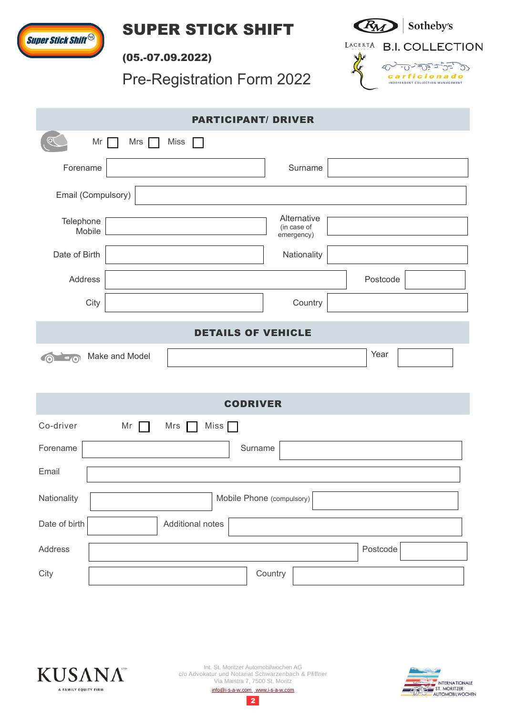





(05.-07.09.2022)

Pre-Registration Form 2022



|                                          | <b>PARTICIPANT/ DRIVER</b>               |  |
|------------------------------------------|------------------------------------------|--|
| Mr<br>Miss<br>Mrs                        | $\mathbb{R}^n$                           |  |
| Forename                                 | Surname                                  |  |
| Email (Compulsory)                       |                                          |  |
| Telephone<br>Mobile                      | Alternative<br>(in case of<br>emergency) |  |
| Date of Birth                            | Nationality                              |  |
| Address                                  | Postcode                                 |  |
| City                                     | Country                                  |  |
| <b>DETAILS OF VEHICLE</b>                |                                          |  |
| Make and Model<br>$\sqrt{a}$<br>$\odot$  | Year                                     |  |
| <b>CODRIVER</b>                          |                                          |  |
| Co-driver<br>Mr<br>Mrs                   | Miss $\Box$                              |  |
| Surname<br>Forename                      |                                          |  |
| Email                                    |                                          |  |
| Nationality<br>Mobile Phone (compulsory) |                                          |  |
| Date of birth                            | Additional notes                         |  |
| Address                                  | Postcode                                 |  |
| City                                     | Country                                  |  |